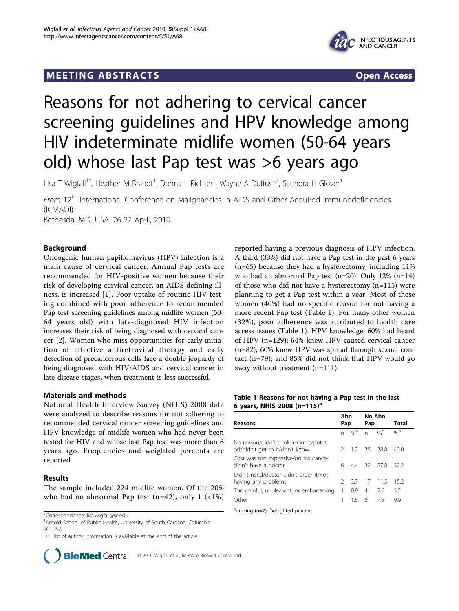## **MEETING ABSTRACTS** And the state of the state of the state of the state of the state of the state of the state of the state of the state of the state of the state of the state of the state of the state of the state of the



# Reasons for not adhering to cervical cancer screening guidelines and HPV knowledge among HIV indeterminate midlife women (50-64 years old) whose last Pap test was >6 years ago

Lisa T Wigfall<sup>1\*</sup>, Heather M Brandt<sup>1</sup>, Donna L Richter<sup>1</sup>, Wayne A Duffus<sup>2,3</sup>, Saundra H Glover<sup>1</sup>

From 12<sup>th</sup> International Conference on Malignancies in AIDS and Other Acquired Immunodeficiencies (ICMAOI) Bethesda, MD, USA. 26-27 April, 2010

## Background

Oncogenic human papillomavirus (HPV) infection is a main cause of cervical cancer. Annual Pap tests are recommended for HIV-positive women because their risk of developing cervical cancer, an AIDS defining illness, is increased [\[1](#page-1-0)]. Poor uptake of routine HIV testing combined with poor adherence to recommended Pap test screening guidelines among midlife women (50- 64 years old) with late-diagnosed HIV infection increases their risk of being diagnosed with cervical cancer [[2\]](#page-1-0). Women who miss opportunities for early initiation of effective antiretroviral therapy and early detection of precancerous cells face a double jeopardy of being diagnosed with HIV/AIDS and cervical cancer in late disease stages, when treatment is less successful.

## Materials and methods

National Health Interview Survey (NHIS) 2008 data were analyzed to describe reasons for not adhering to recommended cervical cancer screening guidelines and HPV knowledge of midlife women who had never been tested for HIV and whose last Pap test was more than 6 years ago. Frequencies and weighted percents are reported.

## Results

The sample included 224 midlife women. Of the 20% who had an abnormal Pap test (n=42), only  $1$  (<1%)

<sup>1</sup> Arnold School of Public Health, University of South Carolina, Columbia, SC, USA

Full list of author information is available at the end of the article



reported having a previous diagnosis of HPV infection. A third (33%) did not have a Pap test in the past 6 years (n=65) because they had a hysterectomy, including 11% who had an abnormal Pap test (n=20). Only 12% (n=14) of those who did not have a hysterectomy (n=115) were planning to get a Pap test within a year. Most of these women (40%) had no specific reason for not having a more recent Pap test (Table 1). For many other women (32%), poor adherence was attributed to health care access issues (Table 1). HPV knowledge: 60% had heard of HPV (n=129); 64% knew HPV caused cervical cancer (n=82); 60% knew HPV was spread through sexual contact (n=79); and 85% did not think that HPV would go away without treatment (n=111).

## Table 1 Reasons for not having a Pap test in the last 6 years, NHIS 2008 (n=115)<sup>a</sup>

| Reasons                                                                   | Abn<br>Pap    |                 | No Abn<br>Pap  |                 | Total           |
|---------------------------------------------------------------------------|---------------|-----------------|----------------|-----------------|-----------------|
|                                                                           | n             | $\%^{\text{b}}$ | n              | $\%^{\text{b}}$ | $\%^{\text{b}}$ |
| No reason/didn't think about it/put it<br>off/didn't get to it/don't know |               |                 |                | 2 1.2 35 38.8   | 40.0            |
| Cost was too expensive/no insurance/<br>didn't have a doctor              | 6             |                 |                | 4.4 32 27.8     | 32.2            |
| Didn't need/doctor didn't order it/not<br>having any problems             | $\mathcal{P}$ | 3.7             | 17             | - 11.5          | 15.2            |
| Too painful, unpleasant, or embarrassing                                  | 1             | 0.9             | $\overline{4}$ | 2.6             | 3.5             |
| Other                                                                     |               | 15              | - 8            | 75              | 9.0             |

<sup>a</sup>missing (n=7); <sup>b</sup>weighted percent

<sup>\*</sup>Correspondence: [lisa.wigfall@sc.edu](mailto:lisa.wigfall@sc.edu)